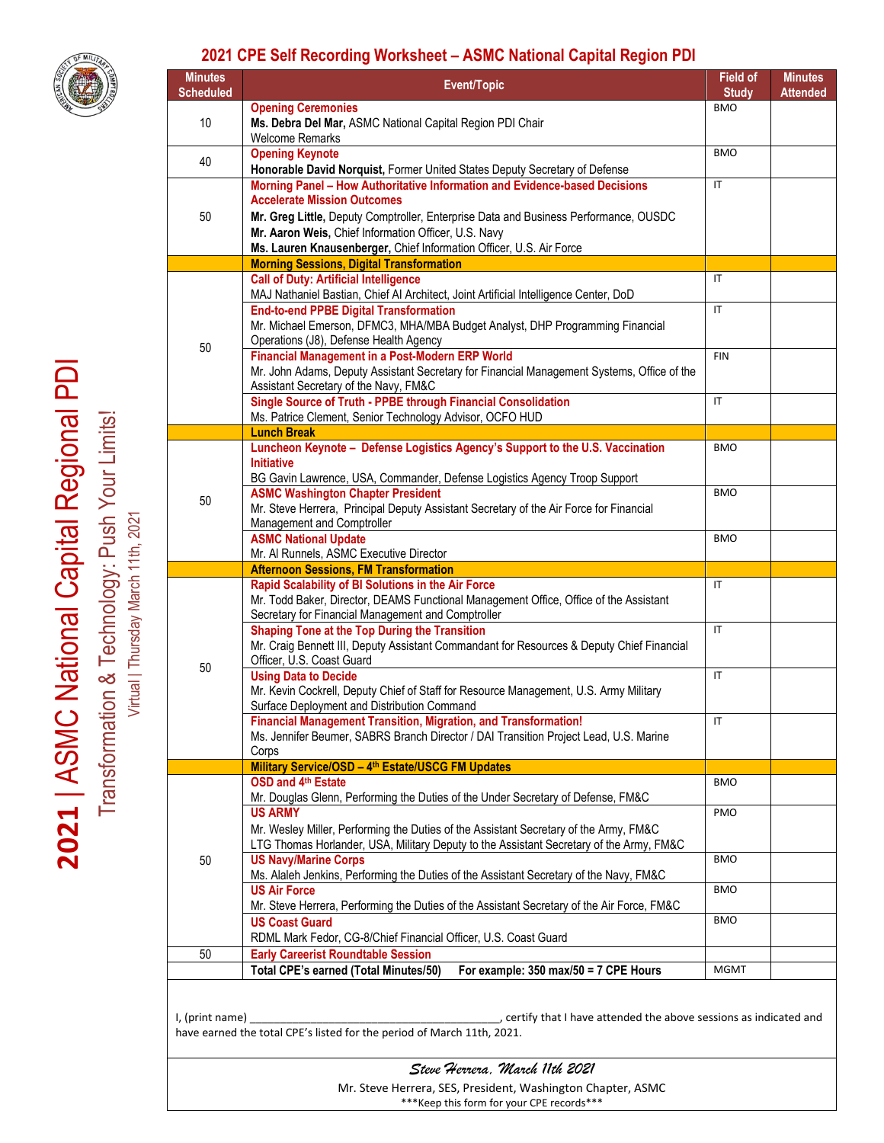

## **2021 CPE Self Recording Worksheet – ASMC National Capital Region PDI**

| <b>Minutes</b><br><b>Scheduled</b>                                                                                                                              | Event/Topic                                                                                                                                                                                                                                               | <b>Field of</b><br><b>Study</b> | <b>Minutes</b><br><b>Attended</b> |
|-----------------------------------------------------------------------------------------------------------------------------------------------------------------|-----------------------------------------------------------------------------------------------------------------------------------------------------------------------------------------------------------------------------------------------------------|---------------------------------|-----------------------------------|
| 10                                                                                                                                                              | <b>Opening Ceremonies</b><br>Ms. Debra Del Mar, ASMC National Capital Region PDI Chair                                                                                                                                                                    | <b>BMO</b>                      |                                   |
| 40                                                                                                                                                              | <b>Welcome Remarks</b><br><b>Opening Keynote</b><br>Honorable David Norquist, Former United States Deputy Secretary of Defense                                                                                                                            | <b>BMO</b>                      |                                   |
| 50                                                                                                                                                              | Morning Panel - How Authoritative Information and Evidence-based Decisions                                                                                                                                                                                | $\mathsf{I}\mathsf{T}$          |                                   |
|                                                                                                                                                                 | <b>Accelerate Mission Outcomes</b><br>Mr. Greg Little, Deputy Comptroller, Enterprise Data and Business Performance, OUSDC<br>Mr. Aaron Weis, Chief Information Officer, U.S. Navy<br>Ms. Lauren Knausenberger, Chief Information Officer, U.S. Air Force |                                 |                                   |
|                                                                                                                                                                 | <b>Morning Sessions, Digital Transformation</b>                                                                                                                                                                                                           |                                 |                                   |
| 50                                                                                                                                                              | <b>Call of Duty: Artificial Intelligence</b><br>MAJ Nathaniel Bastian, Chief Al Architect, Joint Artificial Intelligence Center, DoD                                                                                                                      | IT                              |                                   |
|                                                                                                                                                                 | <b>End-to-end PPBE Digital Transformation</b><br>Mr. Michael Emerson, DFMC3, MHA/MBA Budget Analyst, DHP Programming Financial<br>Operations (J8), Defense Health Agency                                                                                  | $\mathsf{I}\mathsf{T}$          |                                   |
|                                                                                                                                                                 | <b>Financial Management in a Post-Modern ERP World</b><br>Mr. John Adams, Deputy Assistant Secretary for Financial Management Systems, Office of the<br>Assistant Secretary of the Navy, FM&C                                                             | <b>FIN</b>                      |                                   |
|                                                                                                                                                                 | Single Source of Truth - PPBE through Financial Consolidation<br>Ms. Patrice Clement, Senior Technology Advisor, OCFO HUD                                                                                                                                 | $\mathsf{I}\mathsf{T}$          |                                   |
|                                                                                                                                                                 | <b>Lunch Break</b>                                                                                                                                                                                                                                        |                                 |                                   |
| 50                                                                                                                                                              | Luncheon Keynote - Defense Logistics Agency's Support to the U.S. Vaccination<br><b>Initiative</b><br>BG Gavin Lawrence, USA, Commander, Defense Logistics Agency Troop Support                                                                           | <b>BMO</b>                      |                                   |
|                                                                                                                                                                 | <b>ASMC Washington Chapter President</b>                                                                                                                                                                                                                  | <b>BMO</b>                      |                                   |
|                                                                                                                                                                 | Mr. Steve Herrera, Principal Deputy Assistant Secretary of the Air Force for Financial<br>Management and Comptroller                                                                                                                                      |                                 |                                   |
|                                                                                                                                                                 | <b>ASMC National Update</b><br>Mr. Al Runnels, ASMC Executive Director                                                                                                                                                                                    | <b>BMO</b>                      |                                   |
| 50                                                                                                                                                              | <b>Afternoon Sessions, FM Transformation</b>                                                                                                                                                                                                              |                                 |                                   |
|                                                                                                                                                                 | Rapid Scalability of BI Solutions in the Air Force<br>Mr. Todd Baker, Director, DEAMS Functional Management Office, Office of the Assistant<br>Secretary for Financial Management and Comptroller                                                         | $\mathsf{I}\mathsf{T}$          |                                   |
|                                                                                                                                                                 | Shaping Tone at the Top During the Transition<br>Mr. Craig Bennett III, Deputy Assistant Commandant for Resources & Deputy Chief Financial<br>Officer, U.S. Coast Guard                                                                                   | $\mathsf{I}\mathsf{T}$          |                                   |
|                                                                                                                                                                 | <b>Using Data to Decide</b><br>Mr. Kevin Cockrell, Deputy Chief of Staff for Resource Management, U.S. Army Military<br>Surface Deployment and Distribution Command                                                                                       | $\mathsf{I}\mathsf{T}$          |                                   |
|                                                                                                                                                                 | <b>Financial Management Transition, Migration, and Transformation!</b><br>Ms. Jennifer Beumer, SABRS Branch Director / DAI Transition Project Lead, U.S. Marine<br>Corps                                                                                  | IT                              |                                   |
|                                                                                                                                                                 | Military Service/OSD - 4th Estate/USCG FM Updates                                                                                                                                                                                                         |                                 |                                   |
|                                                                                                                                                                 | OSD and 4th Estate<br>Mr. Douglas Glenn, Performing the Duties of the Under Secretary of Defense, FM&C                                                                                                                                                    | <b>BMO</b>                      |                                   |
| 50                                                                                                                                                              | <b>US ARMY</b><br>Mr. Wesley Miller, Performing the Duties of the Assistant Secretary of the Army, FM&C<br>LTG Thomas Horlander, USA, Military Deputy to the Assistant Secretary of the Army, FM&C                                                        | PMO                             |                                   |
|                                                                                                                                                                 | <b>US Navy/Marine Corps</b><br>Ms. Alaleh Jenkins, Performing the Duties of the Assistant Secretary of the Navy, FM&C                                                                                                                                     | <b>BMO</b>                      |                                   |
|                                                                                                                                                                 | <b>US Air Force</b><br>Mr. Steve Herrera, Performing the Duties of the Assistant Secretary of the Air Force, FM&C                                                                                                                                         | <b>BMO</b>                      |                                   |
|                                                                                                                                                                 | <b>US Coast Guard</b><br>RDML Mark Fedor, CG-8/Chief Financial Officer, U.S. Coast Guard                                                                                                                                                                  | <b>BMO</b>                      |                                   |
| 50                                                                                                                                                              | <b>Early Careerist Roundtable Session</b>                                                                                                                                                                                                                 |                                 |                                   |
|                                                                                                                                                                 | Total CPE's earned (Total Minutes/50)<br>For example: $350 \text{ max}/50 = 7 \text{ CPE}$ Hours                                                                                                                                                          | <b>MGMT</b>                     |                                   |
| I, (print name)<br>, certify that I have attended the above sessions as indicated and<br>have earned the total CPE's listed for the period of March 11th, 2021. |                                                                                                                                                                                                                                                           |                                 |                                   |
| Steve Herrera, March 11th 2021<br>Mr. Steve Herrera, SES, President, Washington Chapter, ASMC                                                                   |                                                                                                                                                                                                                                                           |                                 |                                   |

\*\*\*Keep this form for your CPE records\*\*\*

2021 | ASMC National Capital Regional PDI **2021** | ASMC National Capital Regional PDI Transformation & Technology: Push Your Limits!

Transformation & Technology: Push Your Limits! Virtual | Thursday March 11th, 2021

Virtual | Thursday March 11th, 2021